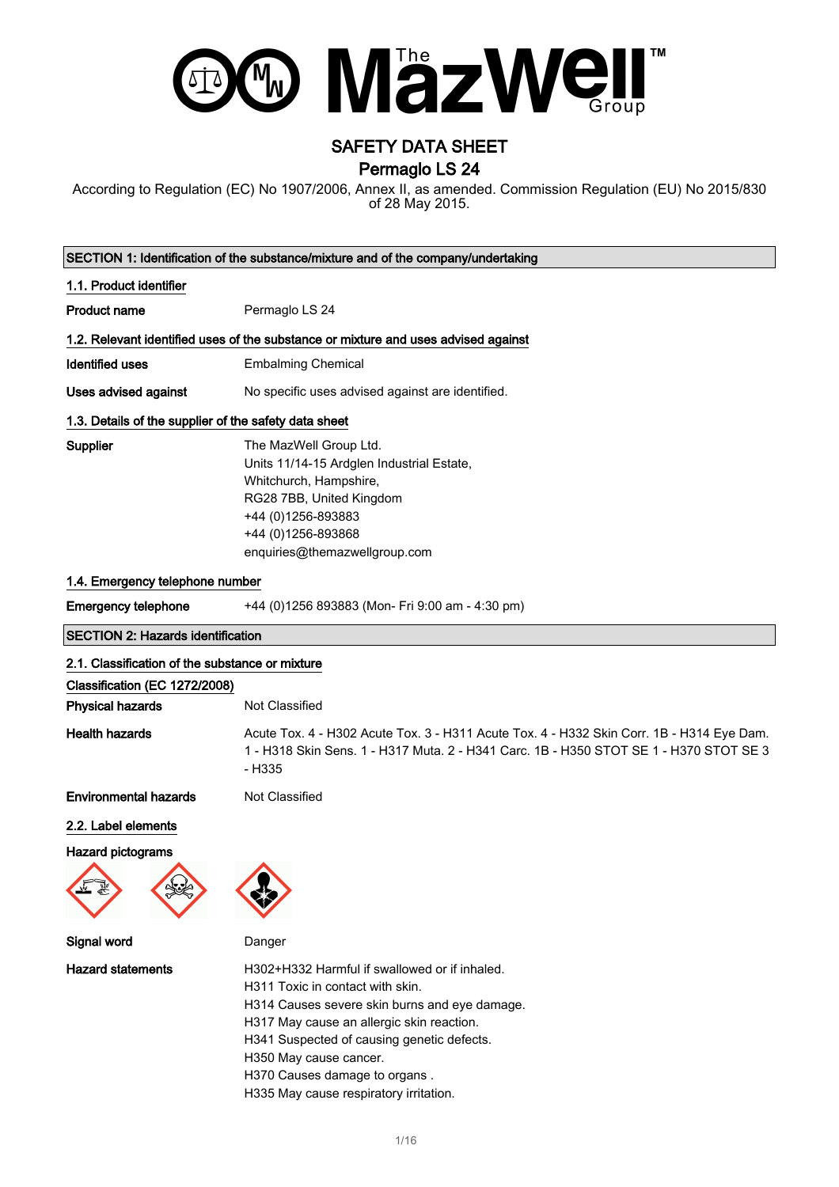

## SAFETY DATA SHEET Permaglo LS 24

According to Regulation (EC) No 1907/2006, Annex II, as amended. Commission Regulation (EU) No 2015/830 of 28 May 2015.

| SECTION 1: Identification of the substance/mixture and of the company/undertaking |                                                                                    |  |
|-----------------------------------------------------------------------------------|------------------------------------------------------------------------------------|--|
| 1.1. Product identifier                                                           |                                                                                    |  |
| Product name                                                                      | Permaglo LS 24                                                                     |  |
|                                                                                   | 1.2. Relevant identified uses of the substance or mixture and uses advised against |  |
| Identified uses                                                                   | <b>Embalming Chemical</b>                                                          |  |
| Uses advised against                                                              | No specific uses advised against are identified.                                   |  |
| 1.3. Details of the supplier of the safety data sheet                             |                                                                                    |  |
| Supplier                                                                          | The MazWell Group Ltd.                                                             |  |
|                                                                                   | Units 11/14-15 Ardglen Industrial Estate,                                          |  |
|                                                                                   | Whitchurch, Hampshire,                                                             |  |
|                                                                                   | RG28 7BB, United Kingdom                                                           |  |
|                                                                                   | +44 (0)1256-893883                                                                 |  |
|                                                                                   | +44 (0)1256-893868                                                                 |  |
|                                                                                   | enquiries@themazwellgroup.com                                                      |  |
| 1.4. Emergency telephone number                                                   |                                                                                    |  |
| Emergency telephone                                                               | +44 (0)1256 893883 (Mon- Fri 9:00 am - 4:30 pm)                                    |  |

| <b>SECTION 2: Hazards identification</b> |  |
|------------------------------------------|--|
|------------------------------------------|--|

| 2.1. Classification of the substance or mixture                |                                                                                                                                                                                               |  |
|----------------------------------------------------------------|-----------------------------------------------------------------------------------------------------------------------------------------------------------------------------------------------|--|
| Classification (EC 1272/2008)                                  |                                                                                                                                                                                               |  |
| <b>Physical hazards</b>                                        | Not Classified                                                                                                                                                                                |  |
| <b>Health hazards</b>                                          | Acute Tox. 4 - H302 Acute Tox. 3 - H311 Acute Tox. 4 - H332 Skin Corr. 1B - H314 Eye Dam.<br>1 - H318 Skin Sens. 1 - H317 Muta. 2 - H341 Carc. 1B - H350 STOT SE 1 - H370 STOT SE 3<br>- H335 |  |
| <b>Environmental hazards</b>                                   | Not Classified                                                                                                                                                                                |  |
| 2.2. Label elements                                            |                                                                                                                                                                                               |  |
| Hazard pictograms<br>$F_{\mathbb{Z}}$<br>$\lambda$ - $\lambda$ |                                                                                                                                                                                               |  |





Signal word Danger

Hazard statements **H302+H332 Harmful if swallowed or if inhaled.** H311 Toxic in contact with skin.

H314 Causes severe skin burns and eye damage.

H317 May cause an allergic skin reaction.

H341 Suspected of causing genetic defects.

H350 May cause cancer.

H370 Causes damage to organs .

H335 May cause respiratory irritation.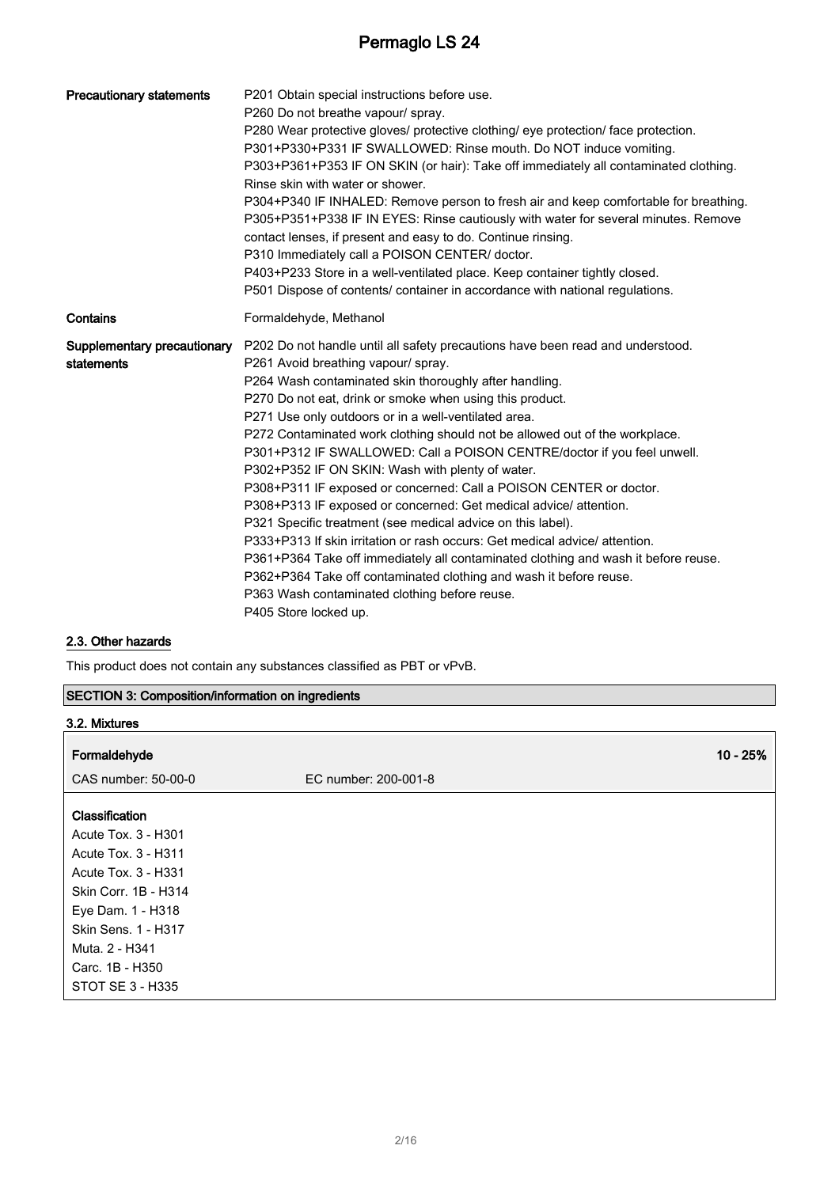| <b>Precautionary statements</b>           | P201 Obtain special instructions before use.<br>P260 Do not breathe vapour/ spray.<br>P280 Wear protective gloves/ protective clothing/ eye protection/ face protection.<br>P301+P330+P331 IF SWALLOWED: Rinse mouth. Do NOT induce vomiting.<br>P303+P361+P353 IF ON SKIN (or hair): Take off immediately all contaminated clothing.<br>Rinse skin with water or shower.<br>P304+P340 IF INHALED: Remove person to fresh air and keep comfortable for breathing.<br>P305+P351+P338 IF IN EYES: Rinse cautiously with water for several minutes. Remove<br>contact lenses, if present and easy to do. Continue rinsing.<br>P310 Immediately call a POISON CENTER/ doctor.<br>P403+P233 Store in a well-ventilated place. Keep container tightly closed.<br>P501 Dispose of contents/ container in accordance with national regulations.                                                                                                                                                                                                         |
|-------------------------------------------|-------------------------------------------------------------------------------------------------------------------------------------------------------------------------------------------------------------------------------------------------------------------------------------------------------------------------------------------------------------------------------------------------------------------------------------------------------------------------------------------------------------------------------------------------------------------------------------------------------------------------------------------------------------------------------------------------------------------------------------------------------------------------------------------------------------------------------------------------------------------------------------------------------------------------------------------------------------------------------------------------------------------------------------------------|
| Contains                                  | Formaldehyde, Methanol                                                                                                                                                                                                                                                                                                                                                                                                                                                                                                                                                                                                                                                                                                                                                                                                                                                                                                                                                                                                                          |
| Supplementary precautionary<br>statements | P202 Do not handle until all safety precautions have been read and understood.<br>P261 Avoid breathing vapour/ spray.<br>P264 Wash contaminated skin thoroughly after handling.<br>P270 Do not eat, drink or smoke when using this product.<br>P271 Use only outdoors or in a well-ventilated area.<br>P272 Contaminated work clothing should not be allowed out of the workplace.<br>P301+P312 IF SWALLOWED: Call a POISON CENTRE/doctor if you feel unwell.<br>P302+P352 IF ON SKIN: Wash with plenty of water.<br>P308+P311 IF exposed or concerned: Call a POISON CENTER or doctor.<br>P308+P313 IF exposed or concerned: Get medical advice/ attention.<br>P321 Specific treatment (see medical advice on this label).<br>P333+P313 If skin irritation or rash occurs: Get medical advice/attention.<br>P361+P364 Take off immediately all contaminated clothing and wash it before reuse.<br>P362+P364 Take off contaminated clothing and wash it before reuse.<br>P363 Wash contaminated clothing before reuse.<br>P405 Store locked up. |

### 2.3. Other hazards

This product does not contain any substances classified as PBT or vPvB.

|  |  |  | <b>SECTION 3: Composition/information on ingredients</b> |
|--|--|--|----------------------------------------------------------|
|--|--|--|----------------------------------------------------------|

| 3.2. Mixtures        |                      |  |
|----------------------|----------------------|--|
| Formaldehyde         | $10 - 25%$           |  |
| CAS number: 50-00-0  | EC number: 200-001-8 |  |
| Classification       |                      |  |
| Acute Tox. 3 - H301  |                      |  |
| Acute Tox. 3 - H311  |                      |  |
| Acute Tox. 3 - H331  |                      |  |
| Skin Corr. 1B - H314 |                      |  |
| Eye Dam. 1 - H318    |                      |  |
| Skin Sens. 1 - H317  |                      |  |
| Muta, 2 - H341       |                      |  |
| Carc. 1B - H350      |                      |  |
| STOT SE 3 - H335     |                      |  |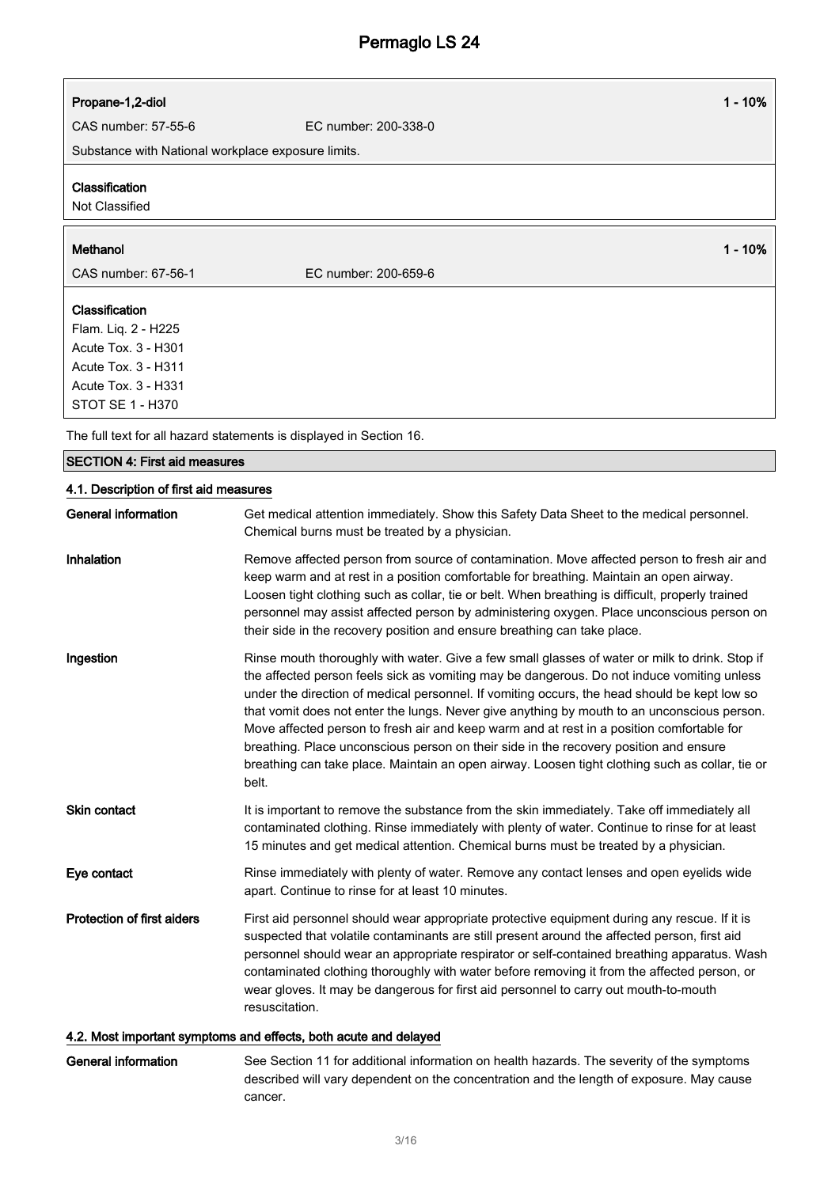| Propane-1,2-diol | $1 - 10%$ |
|------------------|-----------|
|                  |           |

CAS number: 57-55-6 EC number: 200-338-0

Substance with National workplace exposure limits.

#### Classification

Not Classified

#### Methanol 1 - 10%

CAS number: 67-56-1 EC number: 200-659-6

Classification Flam. Liq. 2 - H225 Acute Tox. 3 - H301 Acute Tox. 3 - H311 Acute Tox. 3 - H331 STOT SE 1 - H370

The full text for all hazard statements is displayed in Section 16.

### SECTION 4: First aid measures

## 4.1. Description of first aid measures

| <b>General information</b>        | Get medical attention immediately. Show this Safety Data Sheet to the medical personnel.<br>Chemical burns must be treated by a physician.                                                                                                                                                                                                                                                                                                                                                                                                                                                                                                                                                    |
|-----------------------------------|-----------------------------------------------------------------------------------------------------------------------------------------------------------------------------------------------------------------------------------------------------------------------------------------------------------------------------------------------------------------------------------------------------------------------------------------------------------------------------------------------------------------------------------------------------------------------------------------------------------------------------------------------------------------------------------------------|
| <b>Inhalation</b>                 | Remove affected person from source of contamination. Move affected person to fresh air and<br>keep warm and at rest in a position comfortable for breathing. Maintain an open airway.<br>Loosen tight clothing such as collar, tie or belt. When breathing is difficult, properly trained<br>personnel may assist affected person by administering oxygen. Place unconscious person on<br>their side in the recovery position and ensure breathing can take place.                                                                                                                                                                                                                            |
| Ingestion                         | Rinse mouth thoroughly with water. Give a few small glasses of water or milk to drink. Stop if<br>the affected person feels sick as vomiting may be dangerous. Do not induce vomiting unless<br>under the direction of medical personnel. If vomiting occurs, the head should be kept low so<br>that vomit does not enter the lungs. Never give anything by mouth to an unconscious person.<br>Move affected person to fresh air and keep warm and at rest in a position comfortable for<br>breathing. Place unconscious person on their side in the recovery position and ensure<br>breathing can take place. Maintain an open airway. Loosen tight clothing such as collar, tie or<br>belt. |
| Skin contact                      | It is important to remove the substance from the skin immediately. Take off immediately all<br>contaminated clothing. Rinse immediately with plenty of water. Continue to rinse for at least<br>15 minutes and get medical attention. Chemical burns must be treated by a physician.                                                                                                                                                                                                                                                                                                                                                                                                          |
| Eye contact                       | Rinse immediately with plenty of water. Remove any contact lenses and open eyelids wide<br>apart. Continue to rinse for at least 10 minutes.                                                                                                                                                                                                                                                                                                                                                                                                                                                                                                                                                  |
| <b>Protection of first aiders</b> | First aid personnel should wear appropriate protective equipment during any rescue. If it is<br>suspected that volatile contaminants are still present around the affected person, first aid<br>personnel should wear an appropriate respirator or self-contained breathing apparatus. Wash<br>contaminated clothing thoroughly with water before removing it from the affected person, or<br>wear gloves. It may be dangerous for first aid personnel to carry out mouth-to-mouth<br>resuscitation.                                                                                                                                                                                          |
|                                   |                                                                                                                                                                                                                                                                                                                                                                                                                                                                                                                                                                                                                                                                                               |

### 4.2. Most important symptoms and effects, both acute and delayed

| General information | See Section 11 for additional information on health hazards. The severity of the symptoms |
|---------------------|-------------------------------------------------------------------------------------------|
|                     | described will vary dependent on the concentration and the length of exposure. May cause  |
|                     | cancer.                                                                                   |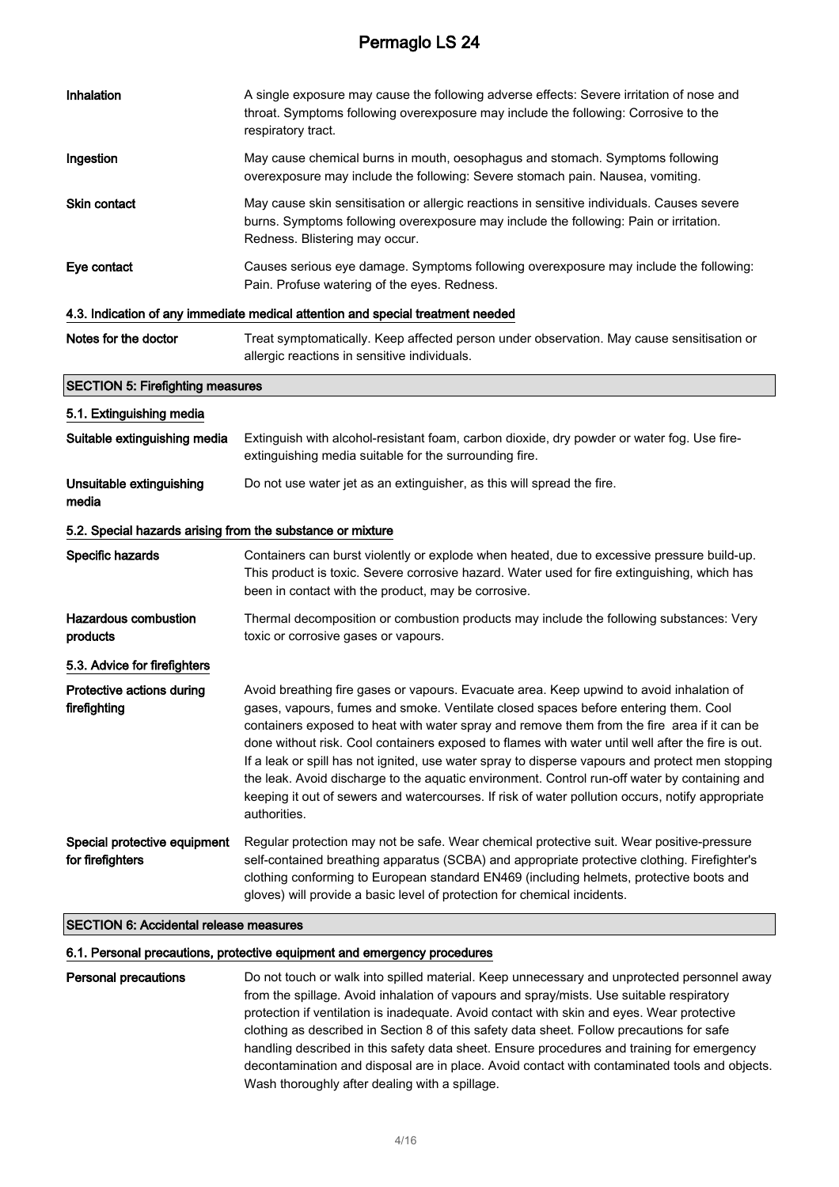| Inhalation                                                 | A single exposure may cause the following adverse effects: Severe irritation of nose and<br>throat. Symptoms following overexposure may include the following: Corrosive to the<br>respiratory tract.                                                                                                                                                                                                                                                                                                                                                                                                                                                                                                        |
|------------------------------------------------------------|--------------------------------------------------------------------------------------------------------------------------------------------------------------------------------------------------------------------------------------------------------------------------------------------------------------------------------------------------------------------------------------------------------------------------------------------------------------------------------------------------------------------------------------------------------------------------------------------------------------------------------------------------------------------------------------------------------------|
| Ingestion                                                  | May cause chemical burns in mouth, oesophagus and stomach. Symptoms following<br>overexposure may include the following: Severe stomach pain. Nausea, vomiting.                                                                                                                                                                                                                                                                                                                                                                                                                                                                                                                                              |
| Skin contact                                               | May cause skin sensitisation or allergic reactions in sensitive individuals. Causes severe<br>burns. Symptoms following overexposure may include the following: Pain or irritation.<br>Redness. Blistering may occur.                                                                                                                                                                                                                                                                                                                                                                                                                                                                                        |
| Eye contact                                                | Causes serious eye damage. Symptoms following overexposure may include the following:<br>Pain. Profuse watering of the eyes. Redness.                                                                                                                                                                                                                                                                                                                                                                                                                                                                                                                                                                        |
|                                                            | 4.3. Indication of any immediate medical attention and special treatment needed                                                                                                                                                                                                                                                                                                                                                                                                                                                                                                                                                                                                                              |
| Notes for the doctor                                       | Treat symptomatically. Keep affected person under observation. May cause sensitisation or<br>allergic reactions in sensitive individuals.                                                                                                                                                                                                                                                                                                                                                                                                                                                                                                                                                                    |
| <b>SECTION 5: Firefighting measures</b>                    |                                                                                                                                                                                                                                                                                                                                                                                                                                                                                                                                                                                                                                                                                                              |
| 5.1. Extinguishing media                                   |                                                                                                                                                                                                                                                                                                                                                                                                                                                                                                                                                                                                                                                                                                              |
| Suitable extinguishing media                               | Extinguish with alcohol-resistant foam, carbon dioxide, dry powder or water fog. Use fire-<br>extinguishing media suitable for the surrounding fire.                                                                                                                                                                                                                                                                                                                                                                                                                                                                                                                                                         |
| Unsuitable extinguishing<br>media                          | Do not use water jet as an extinguisher, as this will spread the fire.                                                                                                                                                                                                                                                                                                                                                                                                                                                                                                                                                                                                                                       |
| 5.2. Special hazards arising from the substance or mixture |                                                                                                                                                                                                                                                                                                                                                                                                                                                                                                                                                                                                                                                                                                              |
| Specific hazards                                           | Containers can burst violently or explode when heated, due to excessive pressure build-up.<br>This product is toxic. Severe corrosive hazard. Water used for fire extinguishing, which has<br>been in contact with the product, may be corrosive.                                                                                                                                                                                                                                                                                                                                                                                                                                                            |
| <b>Hazardous combustion</b><br>products                    | Thermal decomposition or combustion products may include the following substances: Very<br>toxic or corrosive gases or vapours.                                                                                                                                                                                                                                                                                                                                                                                                                                                                                                                                                                              |
| 5.3. Advice for firefighters                               |                                                                                                                                                                                                                                                                                                                                                                                                                                                                                                                                                                                                                                                                                                              |
| Protective actions during<br>firefighting                  | Avoid breathing fire gases or vapours. Evacuate area. Keep upwind to avoid inhalation of<br>gases, vapours, fumes and smoke. Ventilate closed spaces before entering them. Cool<br>containers exposed to heat with water spray and remove them from the fire area if it can be<br>done without risk. Cool containers exposed to flames with water until well after the fire is out.<br>If a leak or spill has not ignited, use water spray to disperse vapours and protect men stopping<br>the leak. Avoid discharge to the aquatic environment. Control run-off water by containing and<br>keeping it out of sewers and watercourses. If risk of water pollution occurs, notify appropriate<br>authorities. |
| Special protective equipment<br>for firefighters           | Regular protection may not be safe. Wear chemical protective suit. Wear positive-pressure<br>self-contained breathing apparatus (SCBA) and appropriate protective clothing. Firefighter's<br>clothing conforming to European standard EN469 (including helmets, protective boots and<br>gloves) will provide a basic level of protection for chemical incidents.                                                                                                                                                                                                                                                                                                                                             |
| <b>SECTION 6: Accidental release measures</b>              |                                                                                                                                                                                                                                                                                                                                                                                                                                                                                                                                                                                                                                                                                                              |

## 6.1. Personal precautions, protective equipment and emergency procedures

| Personal precautions | Do not touch or walk into spilled material. Keep unnecessary and unprotected personnel away   |
|----------------------|-----------------------------------------------------------------------------------------------|
|                      | from the spillage. Avoid inhalation of vapours and spray/mists. Use suitable respiratory      |
|                      | protection if ventilation is inadequate. Avoid contact with skin and eyes. Wear protective    |
|                      | clothing as described in Section 8 of this safety data sheet. Follow precautions for safe     |
|                      | handling described in this safety data sheet. Ensure procedures and training for emergency    |
|                      | decontamination and disposal are in place. Avoid contact with contaminated tools and objects. |
|                      | Wash thoroughly after dealing with a spillage.                                                |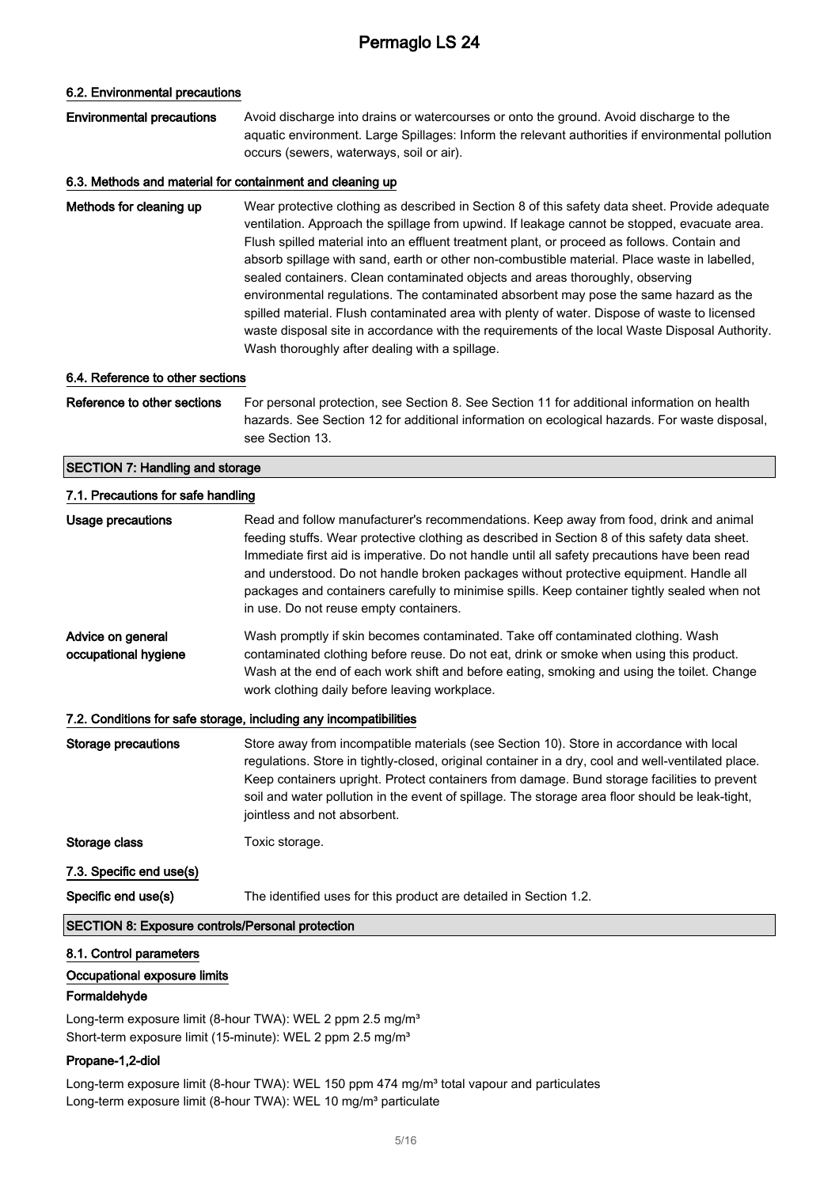#### 6.2. Environmental precautions

#### Environmental precautions Avoid discharge into drains or watercourses or onto the ground. Avoid discharge to the aquatic environment. Large Spillages: Inform the relevant authorities if environmental pollution occurs (sewers, waterways, soil or air).

#### 6.3. Methods and material for containment and cleaning up

Methods for cleaning up Wear protective clothing as described in Section 8 of this safety data sheet. Provide adequate ventilation. Approach the spillage from upwind. If leakage cannot be stopped, evacuate area. Flush spilled material into an effluent treatment plant, or proceed as follows. Contain and absorb spillage with sand, earth or other non-combustible material. Place waste in labelled, sealed containers. Clean contaminated objects and areas thoroughly, observing environmental regulations. The contaminated absorbent may pose the same hazard as the spilled material. Flush contaminated area with plenty of water. Dispose of waste to licensed waste disposal site in accordance with the requirements of the local Waste Disposal Authority. Wash thoroughly after dealing with a spillage.

#### 6.4. Reference to other sections

Reference to other sections For personal protection, see Section 8. See Section 11 for additional information on health hazards. See Section 12 for additional information on ecological hazards. For waste disposal, see Section 13.

#### SECTION 7: Handling and storage

| 7.1. Precautions for safe handling                      |                                                                                                                                                                                                                                                                                                                                                                                                                                                                                                                            |
|---------------------------------------------------------|----------------------------------------------------------------------------------------------------------------------------------------------------------------------------------------------------------------------------------------------------------------------------------------------------------------------------------------------------------------------------------------------------------------------------------------------------------------------------------------------------------------------------|
| <b>Usage precautions</b>                                | Read and follow manufacturer's recommendations. Keep away from food, drink and animal<br>feeding stuffs. Wear protective clothing as described in Section 8 of this safety data sheet.<br>Immediate first aid is imperative. Do not handle until all safety precautions have been read<br>and understood. Do not handle broken packages without protective equipment. Handle all<br>packages and containers carefully to minimise spills. Keep container tightly sealed when not<br>in use. Do not reuse empty containers. |
| Advice on general<br>occupational hygiene               | Wash promptly if skin becomes contaminated. Take off contaminated clothing. Wash<br>contaminated clothing before reuse. Do not eat, drink or smoke when using this product.<br>Wash at the end of each work shift and before eating, smoking and using the toilet. Change<br>work clothing daily before leaving workplace.                                                                                                                                                                                                 |
|                                                         | 7.2. Conditions for safe storage, including any incompatibilities                                                                                                                                                                                                                                                                                                                                                                                                                                                          |
| <b>Storage precautions</b>                              | Store away from incompatible materials (see Section 10). Store in accordance with local<br>regulations. Store in tightly-closed, original container in a dry, cool and well-ventilated place.<br>Keep containers upright. Protect containers from damage. Bund storage facilities to prevent<br>soil and water pollution in the event of spillage. The storage area floor should be leak-tight,<br>jointless and not absorbent.                                                                                            |
| Storage class                                           | Toxic storage.                                                                                                                                                                                                                                                                                                                                                                                                                                                                                                             |
| 7.3. Specific end use(s)                                |                                                                                                                                                                                                                                                                                                                                                                                                                                                                                                                            |
| Specific end use(s)                                     | The identified uses for this product are detailed in Section 1.2.                                                                                                                                                                                                                                                                                                                                                                                                                                                          |
| <b>SECTION 8: Exposure controls/Personal protection</b> |                                                                                                                                                                                                                                                                                                                                                                                                                                                                                                                            |

## 8.1. Control parameters

## Occupational exposure limits

#### Formaldehyde

Long-term exposure limit (8-hour TWA): WEL 2 ppm 2.5 mg/m<sup>3</sup> Short-term exposure limit (15-minute): WEL 2 ppm 2.5 mg/m<sup>3</sup>

#### Propane-1,2-diol

Long-term exposure limit (8-hour TWA): WEL 150 ppm 474 mg/m<sup>3</sup> total vapour and particulates Long-term exposure limit (8-hour TWA): WEL 10 mg/m<sup>3</sup> particulate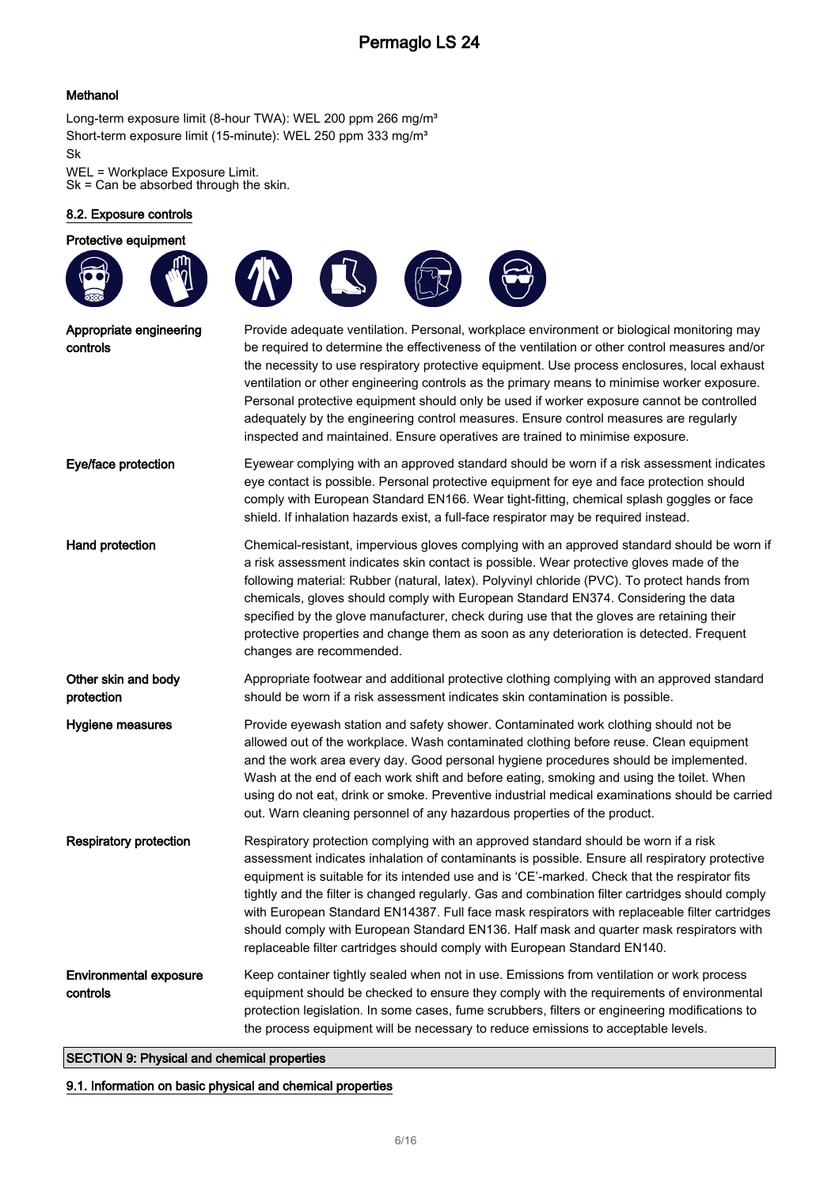### Methanol

Long-term exposure limit (8-hour TWA): WEL 200 ppm 266 mg/m<sup>3</sup> Short-term exposure limit (15-minute): WEL 250 ppm 333 mg/m<sup>3</sup> Sk

WEL = Workplace Exposure Limit. Sk = Can be absorbed through the skin.

#### 8.2. Exposure controls

Protective equipment



| Appropriate engineering<br>controls       | Provide adequate ventilation. Personal, workplace environment or biological monitoring may<br>be required to determine the effectiveness of the ventilation or other control measures and/or<br>the necessity to use respiratory protective equipment. Use process enclosures, local exhaust<br>ventilation or other engineering controls as the primary means to minimise worker exposure.<br>Personal protective equipment should only be used if worker exposure cannot be controlled<br>adequately by the engineering control measures. Ensure control measures are regularly<br>inspected and maintained. Ensure operatives are trained to minimise exposure.  |  |  |  |
|-------------------------------------------|---------------------------------------------------------------------------------------------------------------------------------------------------------------------------------------------------------------------------------------------------------------------------------------------------------------------------------------------------------------------------------------------------------------------------------------------------------------------------------------------------------------------------------------------------------------------------------------------------------------------------------------------------------------------|--|--|--|
| Eye/face protection                       | Eyewear complying with an approved standard should be worn if a risk assessment indicates<br>eye contact is possible. Personal protective equipment for eye and face protection should<br>comply with European Standard EN166. Wear tight-fitting, chemical splash goggles or face<br>shield. If inhalation hazards exist, a full-face respirator may be required instead.                                                                                                                                                                                                                                                                                          |  |  |  |
| Hand protection                           | Chemical-resistant, impervious gloves complying with an approved standard should be worn if<br>a risk assessment indicates skin contact is possible. Wear protective gloves made of the<br>following material: Rubber (natural, latex). Polyvinyl chloride (PVC). To protect hands from<br>chemicals, gloves should comply with European Standard EN374. Considering the data<br>specified by the glove manufacturer, check during use that the gloves are retaining their<br>protective properties and change them as soon as any deterioration is detected. Frequent<br>changes are recommended.                                                                  |  |  |  |
| Other skin and body<br>protection         | Appropriate footwear and additional protective clothing complying with an approved standard<br>should be worn if a risk assessment indicates skin contamination is possible.                                                                                                                                                                                                                                                                                                                                                                                                                                                                                        |  |  |  |
| Hygiene measures                          | Provide eyewash station and safety shower. Contaminated work clothing should not be<br>allowed out of the workplace. Wash contaminated clothing before reuse. Clean equipment<br>and the work area every day. Good personal hygiene procedures should be implemented.<br>Wash at the end of each work shift and before eating, smoking and using the toilet. When<br>using do not eat, drink or smoke. Preventive industrial medical examinations should be carried<br>out. Warn cleaning personnel of any hazardous properties of the product.                                                                                                                     |  |  |  |
| Respiratory protection                    | Respiratory protection complying with an approved standard should be worn if a risk<br>assessment indicates inhalation of contaminants is possible. Ensure all respiratory protective<br>equipment is suitable for its intended use and is 'CE'-marked. Check that the respirator fits<br>tightly and the filter is changed regularly. Gas and combination filter cartridges should comply<br>with European Standard EN14387. Full face mask respirators with replaceable filter cartridges<br>should comply with European Standard EN136. Half mask and quarter mask respirators with<br>replaceable filter cartridges should comply with European Standard EN140. |  |  |  |
| <b>Environmental exposure</b><br>controls | Keep container tightly sealed when not in use. Emissions from ventilation or work process<br>equipment should be checked to ensure they comply with the requirements of environmental<br>protection legislation. In some cases, fume scrubbers, filters or engineering modifications to<br>the process equipment will be necessary to reduce emissions to acceptable levels.                                                                                                                                                                                                                                                                                        |  |  |  |

### SECTION 9: Physical and chemical properties

#### 9.1. Information on basic physical and chemical properties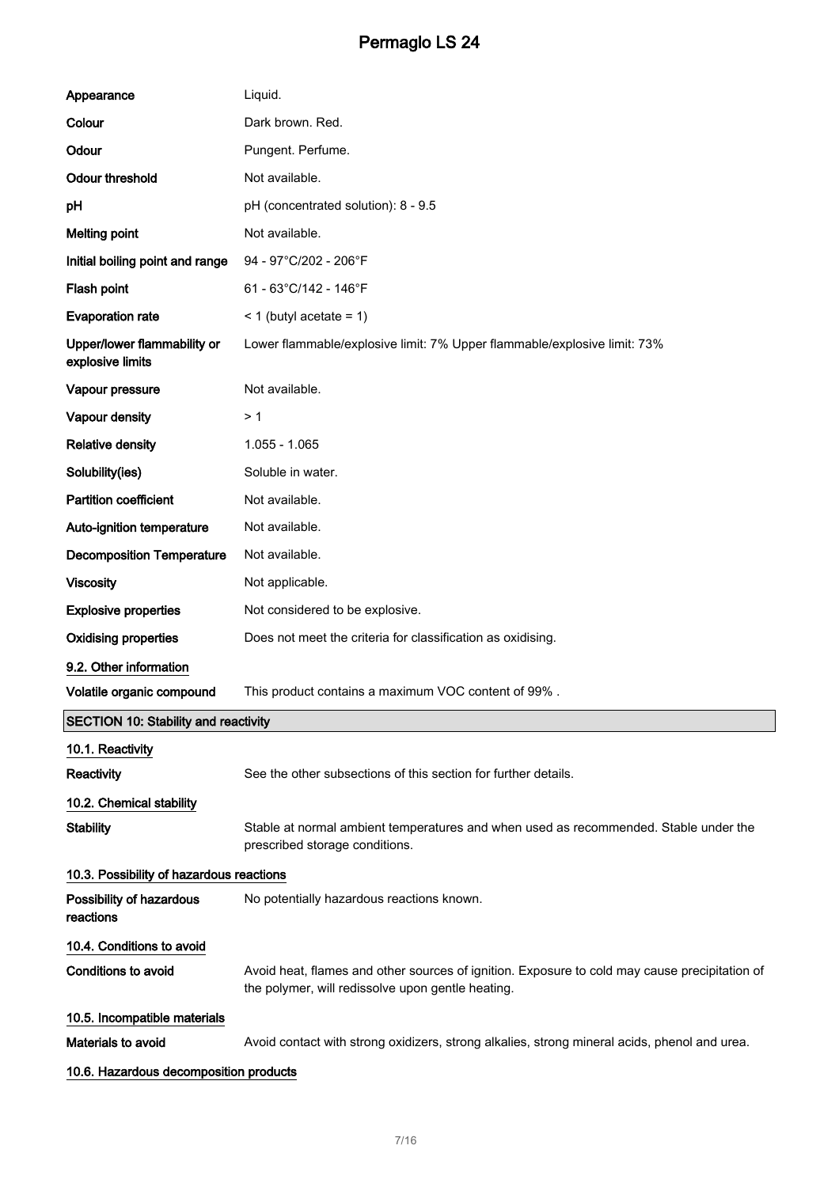| Appearance                                      | Liquid.                                                                                                                                            |  |  |
|-------------------------------------------------|----------------------------------------------------------------------------------------------------------------------------------------------------|--|--|
| Colour                                          | Dark brown. Red.                                                                                                                                   |  |  |
| Odour                                           | Pungent. Perfume.                                                                                                                                  |  |  |
| <b>Odour threshold</b>                          | Not available.                                                                                                                                     |  |  |
| рH                                              | pH (concentrated solution): 8 - 9.5                                                                                                                |  |  |
| <b>Melting point</b>                            | Not available.                                                                                                                                     |  |  |
| Initial boiling point and range                 | 94 - 97°C/202 - 206°F                                                                                                                              |  |  |
| Flash point                                     | 61 - 63°C/142 - 146°F                                                                                                                              |  |  |
| <b>Evaporation rate</b>                         | $<$ 1 (butyl acetate = 1)                                                                                                                          |  |  |
| Upper/lower flammability or<br>explosive limits | Lower flammable/explosive limit: 7% Upper flammable/explosive limit: 73%                                                                           |  |  |
| Vapour pressure                                 | Not available.                                                                                                                                     |  |  |
| Vapour density                                  | >1                                                                                                                                                 |  |  |
| <b>Relative density</b>                         | $1.055 - 1.065$                                                                                                                                    |  |  |
| Solubility(ies)                                 | Soluble in water.                                                                                                                                  |  |  |
| <b>Partition coefficient</b>                    | Not available.                                                                                                                                     |  |  |
| Auto-ignition temperature                       | Not available.                                                                                                                                     |  |  |
| <b>Decomposition Temperature</b>                | Not available.                                                                                                                                     |  |  |
| <b>Viscosity</b>                                | Not applicable.                                                                                                                                    |  |  |
| <b>Explosive properties</b>                     | Not considered to be explosive.                                                                                                                    |  |  |
| <b>Oxidising properties</b>                     | Does not meet the criteria for classification as oxidising.                                                                                        |  |  |
| 9.2. Other information                          |                                                                                                                                                    |  |  |
| Volatile organic compound                       | This product contains a maximum VOC content of 99%.                                                                                                |  |  |
| <b>SECTION 10: Stability and reactivity</b>     |                                                                                                                                                    |  |  |
| 10.1. Reactivity                                |                                                                                                                                                    |  |  |
| <b>Reactivity</b>                               | See the other subsections of this section for further details.                                                                                     |  |  |
| 10.2. Chemical stability                        |                                                                                                                                                    |  |  |
| <b>Stability</b>                                | Stable at normal ambient temperatures and when used as recommended. Stable under the<br>prescribed storage conditions.                             |  |  |
| 10.3. Possibility of hazardous reactions        |                                                                                                                                                    |  |  |
| Possibility of hazardous<br>reactions           | No potentially hazardous reactions known.                                                                                                          |  |  |
| 10.4. Conditions to avoid                       |                                                                                                                                                    |  |  |
| <b>Conditions to avoid</b>                      | Avoid heat, flames and other sources of ignition. Exposure to cold may cause precipitation of<br>the polymer, will redissolve upon gentle heating. |  |  |
| 10.5. Incompatible materials                    |                                                                                                                                                    |  |  |
| Materials to avoid                              | Avoid contact with strong oxidizers, strong alkalies, strong mineral acids, phenol and urea.                                                       |  |  |
| 10.6. Hazardous decomposition products          |                                                                                                                                                    |  |  |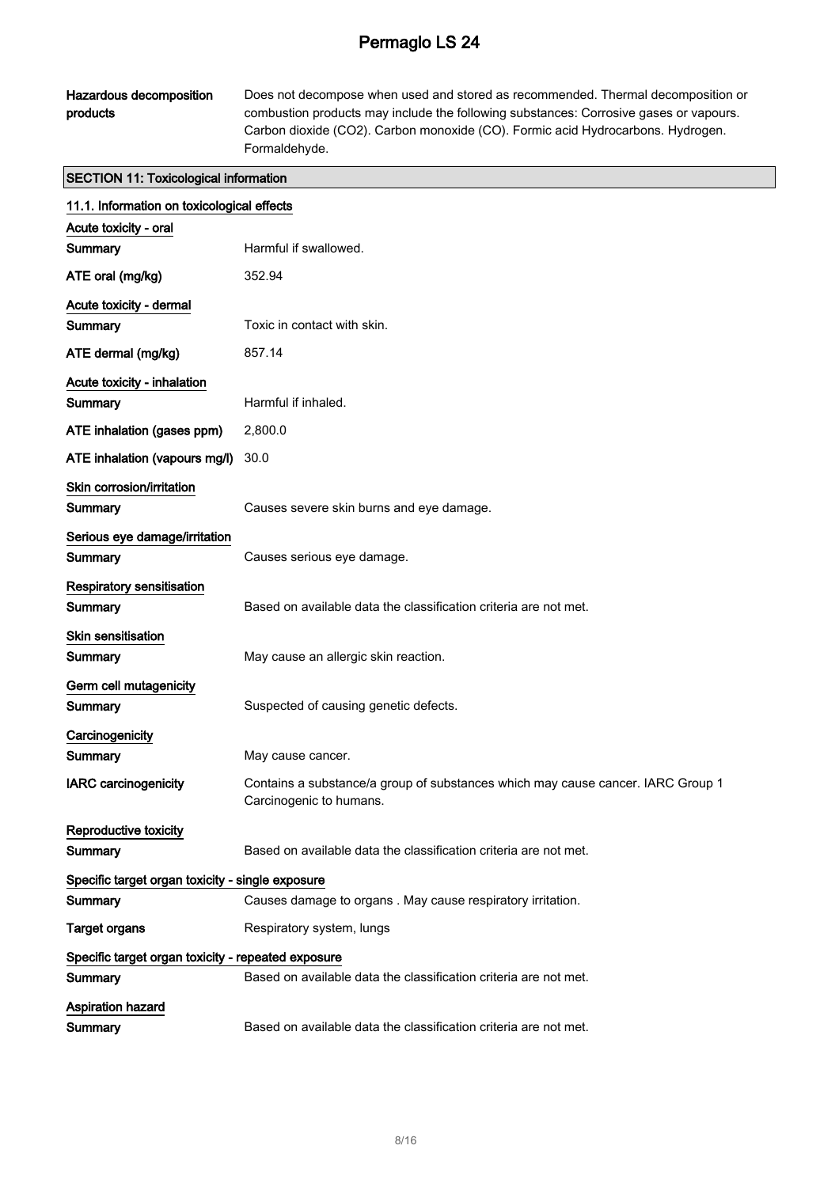### Hazardous decomposition products

Does not decompose when used and stored as recommended. Thermal decomposition or combustion products may include the following substances: Corrosive gases or vapours. Carbon dioxide (CO2). Carbon monoxide (CO). Formic acid Hydrocarbons. Hydrogen. Formaldehyde.

### SECTION 11: Toxicological information

| 11.1. Information on toxicological effects         |                                                                                                            |  |  |  |
|----------------------------------------------------|------------------------------------------------------------------------------------------------------------|--|--|--|
| Acute toxicity - oral                              |                                                                                                            |  |  |  |
| Summary                                            | Harmful if swallowed.                                                                                      |  |  |  |
| ATE oral (mg/kg)                                   | 352.94                                                                                                     |  |  |  |
| Acute toxicity - dermal                            |                                                                                                            |  |  |  |
| Summary                                            | Toxic in contact with skin.                                                                                |  |  |  |
| ATE dermal (mg/kg)                                 | 857.14                                                                                                     |  |  |  |
| Acute toxicity - inhalation                        |                                                                                                            |  |  |  |
| Summary                                            | Harmful if inhaled.                                                                                        |  |  |  |
| ATE inhalation (gases ppm)                         | 2,800.0                                                                                                    |  |  |  |
| ATE inhalation (vapours mg/l)                      | 30.0                                                                                                       |  |  |  |
| Skin corrosion/irritation                          |                                                                                                            |  |  |  |
| Summary                                            | Causes severe skin burns and eye damage.                                                                   |  |  |  |
| Serious eye damage/irritation                      |                                                                                                            |  |  |  |
| Summary                                            | Causes serious eye damage.                                                                                 |  |  |  |
| Respiratory sensitisation                          |                                                                                                            |  |  |  |
| Summary                                            | Based on available data the classification criteria are not met.                                           |  |  |  |
| Skin sensitisation                                 |                                                                                                            |  |  |  |
| Summary                                            | May cause an allergic skin reaction.                                                                       |  |  |  |
| Germ cell mutagenicity                             |                                                                                                            |  |  |  |
| Summary                                            | Suspected of causing genetic defects.                                                                      |  |  |  |
| Carcinogenicity                                    |                                                                                                            |  |  |  |
| Summary                                            | May cause cancer.                                                                                          |  |  |  |
| <b>IARC</b> carcinogenicity                        | Contains a substance/a group of substances which may cause cancer. IARC Group 1<br>Carcinogenic to humans. |  |  |  |
| Reproductive toxicity                              |                                                                                                            |  |  |  |
| Summary                                            | Based on available data the classification criteria are not met.                                           |  |  |  |
| Specific target organ toxicity - single exposure   |                                                                                                            |  |  |  |
| Summary                                            | Causes damage to organs . May cause respiratory irritation.                                                |  |  |  |
| <b>Target organs</b>                               | Respiratory system, lungs                                                                                  |  |  |  |
| Specific target organ toxicity - repeated exposure |                                                                                                            |  |  |  |
| Summary                                            | Based on available data the classification criteria are not met.                                           |  |  |  |
| <b>Aspiration hazard</b>                           |                                                                                                            |  |  |  |
| Summary                                            | Based on available data the classification criteria are not met.                                           |  |  |  |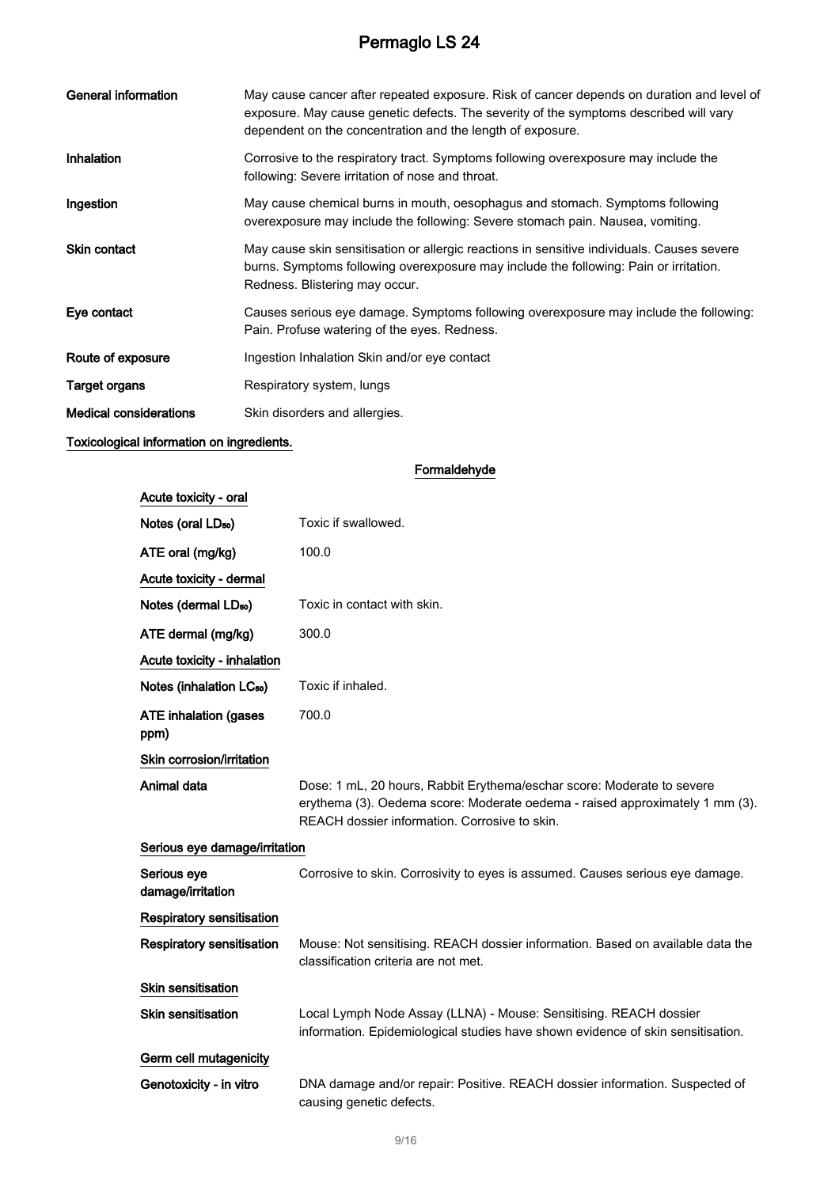| General information           | May cause cancer after repeated exposure. Risk of cancer depends on duration and level of<br>exposure. May cause genetic defects. The severity of the symptoms described will vary<br>dependent on the concentration and the length of exposure. |  |  |  |
|-------------------------------|--------------------------------------------------------------------------------------------------------------------------------------------------------------------------------------------------------------------------------------------------|--|--|--|
| Inhalation                    | Corrosive to the respiratory tract. Symptoms following overexposure may include the<br>following: Severe irritation of nose and throat.                                                                                                          |  |  |  |
| Ingestion                     | May cause chemical burns in mouth, oesophagus and stomach. Symptoms following<br>overexposure may include the following: Severe stomach pain. Nausea, vomiting.                                                                                  |  |  |  |
| <b>Skin contact</b>           | May cause skin sensitisation or allergic reactions in sensitive individuals. Causes severe<br>burns. Symptoms following overexposure may include the following: Pain or irritation.<br>Redness. Blistering may occur.                            |  |  |  |
| Eye contact                   | Causes serious eye damage. Symptoms following overexposure may include the following:<br>Pain. Profuse watering of the eyes. Redness.                                                                                                            |  |  |  |
| Route of exposure             | Ingestion Inhalation Skin and/or eye contact                                                                                                                                                                                                     |  |  |  |
| <b>Target organs</b>          | Respiratory system, lungs                                                                                                                                                                                                                        |  |  |  |
| <b>Medical considerations</b> | Skin disorders and allergies.                                                                                                                                                                                                                    |  |  |  |
| _                             |                                                                                                                                                                                                                                                  |  |  |  |

#### Toxicological information on ingredients.

### Formaldehyde

| Acute toxicity - oral                |                                                                                                                                                                                                         |  |  |
|--------------------------------------|---------------------------------------------------------------------------------------------------------------------------------------------------------------------------------------------------------|--|--|
| Notes (oral LD <sub>50</sub> )       | Toxic if swallowed.                                                                                                                                                                                     |  |  |
| ATE oral (mg/kg)                     | 100.0                                                                                                                                                                                                   |  |  |
| Acute toxicity - dermal              |                                                                                                                                                                                                         |  |  |
| Notes (dermal LD <sub>50</sub> )     | Toxic in contact with skin.                                                                                                                                                                             |  |  |
| ATE dermal (mg/kg)                   | 300.0                                                                                                                                                                                                   |  |  |
| Acute toxicity - inhalation          |                                                                                                                                                                                                         |  |  |
| Notes (inhalation LC <sub>50</sub> ) | Toxic if inhaled.                                                                                                                                                                                       |  |  |
| <b>ATE inhalation (gases</b><br>ppm) | 700.0                                                                                                                                                                                                   |  |  |
| Skin corrosion/irritation            |                                                                                                                                                                                                         |  |  |
| Animal data                          | Dose: 1 mL, 20 hours, Rabbit Erythema/eschar score: Moderate to severe<br>erythema (3). Oedema score: Moderate oedema - raised approximately 1 mm (3).<br>REACH dossier information. Corrosive to skin. |  |  |
| Serious eye damage/irritation        |                                                                                                                                                                                                         |  |  |
| Serious eye<br>damage/irritation     | Corrosive to skin. Corrosivity to eyes is assumed. Causes serious eye damage.                                                                                                                           |  |  |
| Respiratory sensitisation            |                                                                                                                                                                                                         |  |  |
| <b>Respiratory sensitisation</b>     | Mouse: Not sensitising. REACH dossier information. Based on available data the<br>classification criteria are not met.                                                                                  |  |  |
| <b>Skin sensitisation</b>            |                                                                                                                                                                                                         |  |  |
| Skin sensitisation                   | Local Lymph Node Assay (LLNA) - Mouse: Sensitising. REACH dossier<br>information. Epidemiological studies have shown evidence of skin sensitisation.                                                    |  |  |
| Germ cell mutagenicity               |                                                                                                                                                                                                         |  |  |
| Genotoxicity - in vitro              | DNA damage and/or repair: Positive. REACH dossier information. Suspected of<br>causing genetic defects.                                                                                                 |  |  |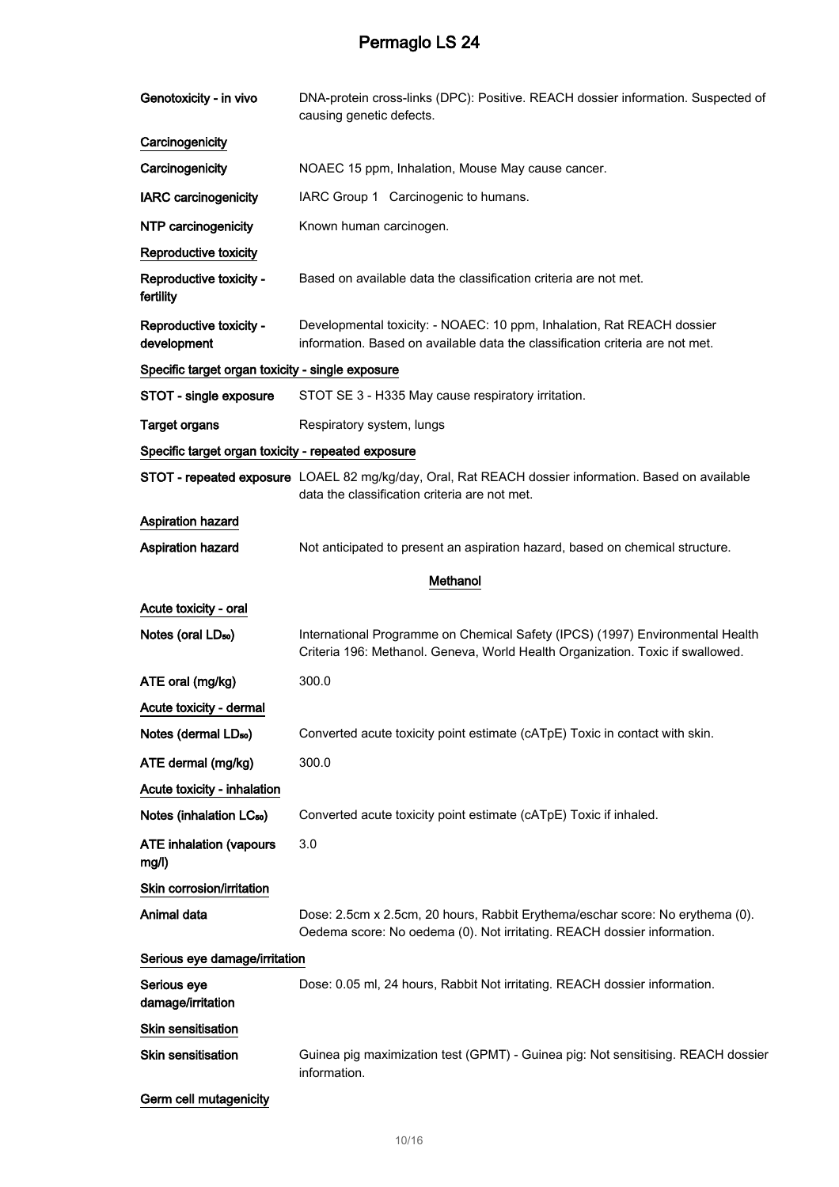| Genotoxicity - in vivo                             | DNA-protein cross-links (DPC): Positive. REACH dossier information. Suspected of<br>causing genetic defects.                                                    |  |  |
|----------------------------------------------------|-----------------------------------------------------------------------------------------------------------------------------------------------------------------|--|--|
| Carcinogenicity                                    |                                                                                                                                                                 |  |  |
| Carcinogenicity                                    | NOAEC 15 ppm, Inhalation, Mouse May cause cancer.                                                                                                               |  |  |
| <b>IARC</b> carcinogenicity                        | IARC Group 1 Carcinogenic to humans.                                                                                                                            |  |  |
| NTP carcinogenicity                                | Known human carcinogen.                                                                                                                                         |  |  |
| Reproductive toxicity                              |                                                                                                                                                                 |  |  |
| Reproductive toxicity -<br>fertility               | Based on available data the classification criteria are not met.                                                                                                |  |  |
| Reproductive toxicity -<br>development             | Developmental toxicity: - NOAEC: 10 ppm, Inhalation, Rat REACH dossier<br>information. Based on available data the classification criteria are not met.         |  |  |
| Specific target organ toxicity - single exposure   |                                                                                                                                                                 |  |  |
| STOT - single exposure                             | STOT SE 3 - H335 May cause respiratory irritation.                                                                                                              |  |  |
| <b>Target organs</b>                               | Respiratory system, lungs                                                                                                                                       |  |  |
| Specific target organ toxicity - repeated exposure |                                                                                                                                                                 |  |  |
|                                                    | STOT - repeated exposure LOAEL 82 mg/kg/day, Oral, Rat REACH dossier information. Based on available<br>data the classification criteria are not met.           |  |  |
| <b>Aspiration hazard</b>                           |                                                                                                                                                                 |  |  |
| <b>Aspiration hazard</b>                           | Not anticipated to present an aspiration hazard, based on chemical structure.                                                                                   |  |  |
|                                                    | Methanol                                                                                                                                                        |  |  |
| Acute toxicity - oral                              |                                                                                                                                                                 |  |  |
| Notes (oral LD <sub>50</sub> )                     | International Programme on Chemical Safety (IPCS) (1997) Environmental Health<br>Criteria 196: Methanol. Geneva, World Health Organization. Toxic if swallowed. |  |  |
| ATE oral (mg/kg)                                   | 300.0                                                                                                                                                           |  |  |
| Acute toxicity - dermal                            |                                                                                                                                                                 |  |  |
| Notes (dermal LD <sub>50</sub> )                   | Converted acute toxicity point estimate (cATpE) Toxic in contact with skin.                                                                                     |  |  |
| ATE dermal (mg/kg)                                 | 300.0                                                                                                                                                           |  |  |
| Acute toxicity - inhalation                        |                                                                                                                                                                 |  |  |
| Notes (inhalation LC <sub>50</sub> )               | Converted acute toxicity point estimate (cATpE) Toxic if inhaled.                                                                                               |  |  |
| <b>ATE inhalation (vapours</b><br>mg/l)            | 3.0                                                                                                                                                             |  |  |
| Skin corrosion/irritation                          |                                                                                                                                                                 |  |  |
| Animal data                                        | Dose: 2.5cm x 2.5cm, 20 hours, Rabbit Erythema/eschar score: No erythema (0).<br>Oedema score: No oedema (0). Not irritating. REACH dossier information.        |  |  |
| Serious eye damage/irritation                      |                                                                                                                                                                 |  |  |
| Serious eye<br>damage/irritation                   | Dose: 0.05 ml, 24 hours, Rabbit Not irritating. REACH dossier information.                                                                                      |  |  |
| Skin sensitisation                                 |                                                                                                                                                                 |  |  |
| <b>Skin sensitisation</b>                          | Guinea pig maximization test (GPMT) - Guinea pig: Not sensitising. REACH dossier<br>information.                                                                |  |  |
| Germ cell mutagenicity                             |                                                                                                                                                                 |  |  |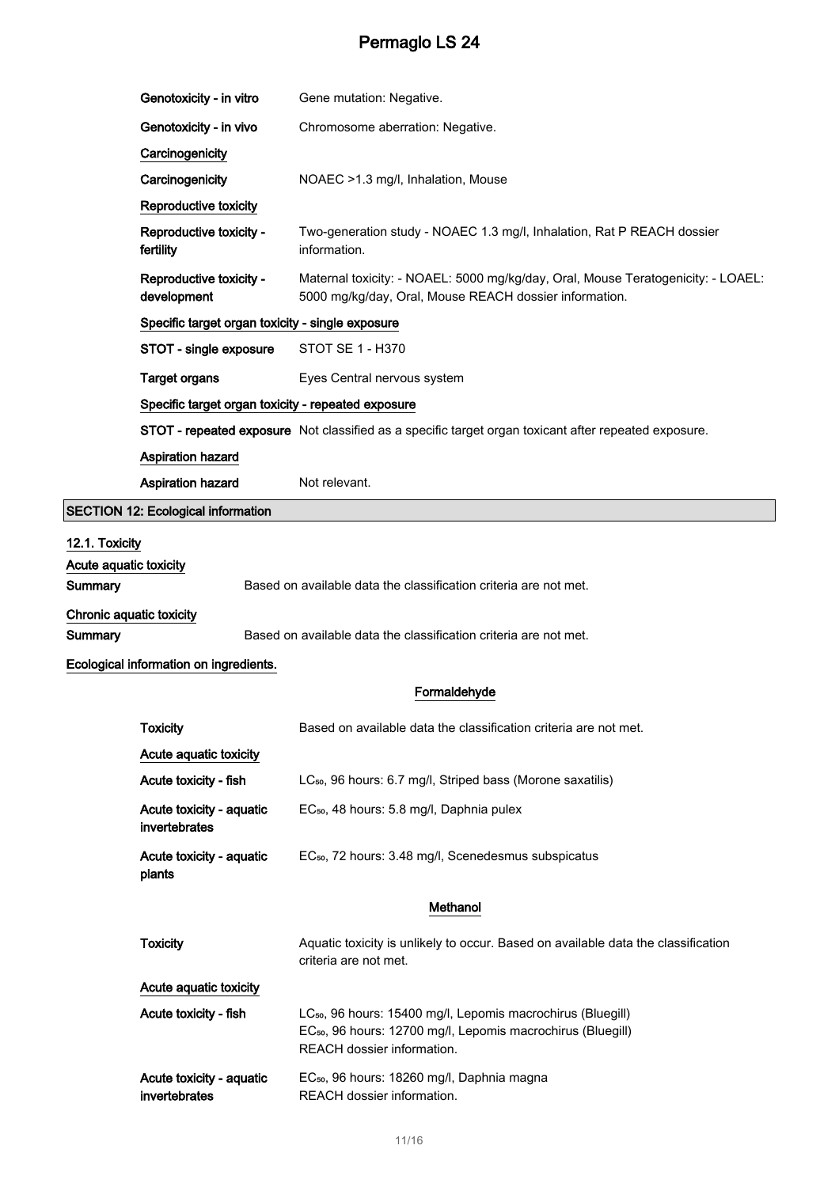| Genotoxicity - in vitro                            | Gene mutation: Negative.                                                                                                                   |  |  |
|----------------------------------------------------|--------------------------------------------------------------------------------------------------------------------------------------------|--|--|
| Genotoxicity - in vivo                             | Chromosome aberration: Negative.                                                                                                           |  |  |
| Carcinogenicity                                    |                                                                                                                                            |  |  |
| Carcinogenicity                                    | NOAEC >1.3 mg/l, Inhalation, Mouse                                                                                                         |  |  |
| Reproductive toxicity                              |                                                                                                                                            |  |  |
| Reproductive toxicity -<br>fertility               | Two-generation study - NOAEC 1.3 mg/l, Inhalation, Rat P REACH dossier<br>information.                                                     |  |  |
| Reproductive toxicity -<br>development             | Maternal toxicity: - NOAEL: 5000 mg/kg/day, Oral, Mouse Teratogenicity: - LOAEL:<br>5000 mg/kg/day, Oral, Mouse REACH dossier information. |  |  |
| Specific target organ toxicity - single exposure   |                                                                                                                                            |  |  |
| STOT - single exposure                             | <b>STOT SE 1 - H370</b>                                                                                                                    |  |  |
| <b>Target organs</b>                               | Eyes Central nervous system                                                                                                                |  |  |
| Specific target organ toxicity - repeated exposure |                                                                                                                                            |  |  |
|                                                    | STOT - repeated exposure Not classified as a specific target organ toxicant after repeated exposure.                                       |  |  |
| <b>Aspiration hazard</b>                           |                                                                                                                                            |  |  |
| Aspiration hazard                                  | Not relevant.                                                                                                                              |  |  |
| 2: Ecological information                          |                                                                                                                                            |  |  |
|                                                    |                                                                                                                                            |  |  |

# 12.1. Toxicity Acute aquatic toxicity Summary Based on available data the classification criteria are not met. Chronic aquatic toxicity Summary Based on available data the classification criteria are not met.

## Ecological information on ingredients.

SECTION 1

## Formaldehyde

| <b>Toxicity</b>                           | Based on available data the classification criteria are not met.                                                                                                                 |  |  |
|-------------------------------------------|----------------------------------------------------------------------------------------------------------------------------------------------------------------------------------|--|--|
| Acute aquatic toxicity                    |                                                                                                                                                                                  |  |  |
| Acute toxicity - fish                     | LC <sub>50</sub> , 96 hours: 6.7 mg/l, Striped bass (Morone saxatilis)                                                                                                           |  |  |
| Acute toxicity - aquatic<br>invertebrates | EC <sub>50</sub> , 48 hours: 5.8 mg/l, Daphnia pulex                                                                                                                             |  |  |
| Acute toxicity - aquatic<br>plants        | EC <sub>50</sub> , 72 hours: 3.48 mg/l, Scenedesmus subspicatus                                                                                                                  |  |  |
|                                           | Methanol                                                                                                                                                                         |  |  |
|                                           |                                                                                                                                                                                  |  |  |
| Toxicity                                  | Aquatic toxicity is unlikely to occur. Based on available data the classification<br>criteria are not met.                                                                       |  |  |
| Acute aquatic toxicity                    |                                                                                                                                                                                  |  |  |
| Acute toxicity - fish                     | LC <sub>50</sub> , 96 hours: 15400 mg/l, Lepomis macrochirus (Bluegill)<br>EC <sub>50</sub> , 96 hours: 12700 mg/l, Lepomis macrochirus (Bluegill)<br>REACH dossier information. |  |  |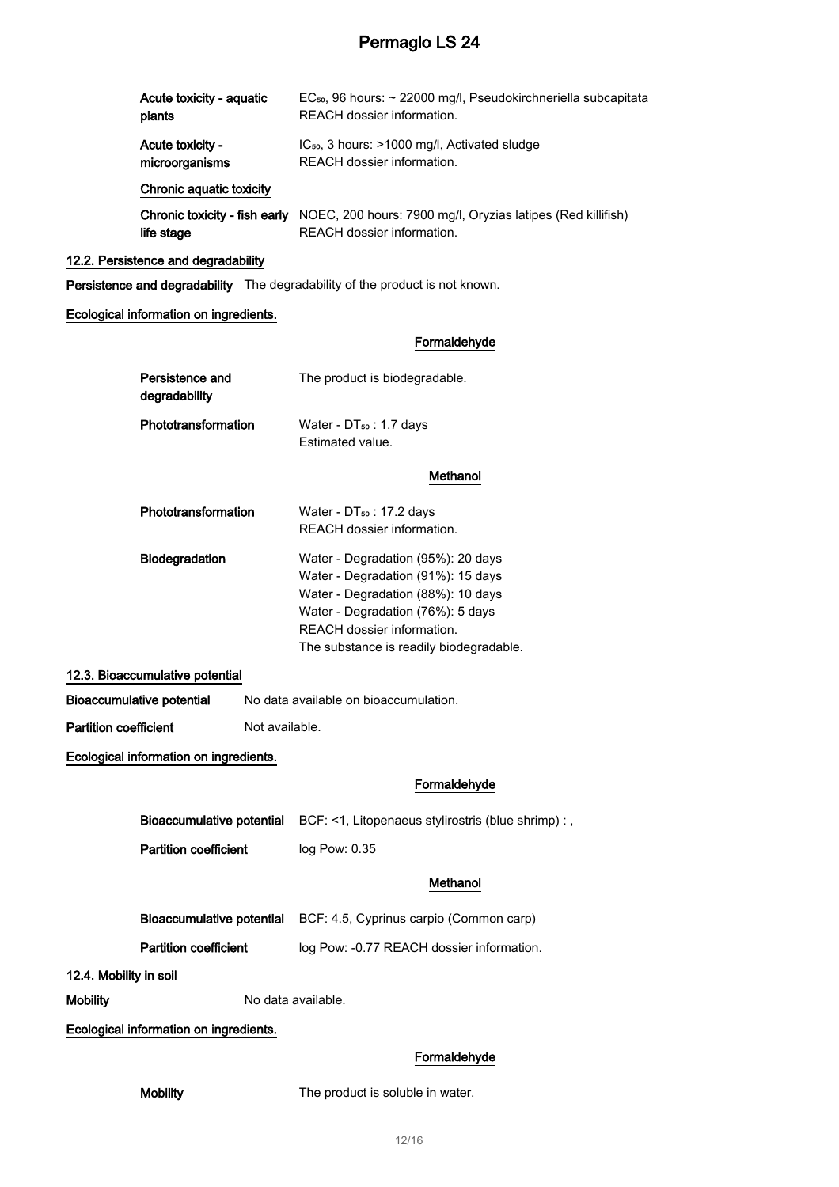| Acute toxicity - aquatic      | EC <sub>50</sub> , 96 hours: ~ 22000 mg/l, Pseudokirchneriella subcapitata |  |  |
|-------------------------------|----------------------------------------------------------------------------|--|--|
| plants                        | REACH dossier information.                                                 |  |  |
| Acute toxicity -              | $IC_{50}$ , 3 hours: $>1000$ mg/l, Activated sludge                        |  |  |
| microorganisms                | REACH dossier information.                                                 |  |  |
| Chronic aquatic toxicity      |                                                                            |  |  |
| Chronic toxicity - fish early | NOEC, 200 hours: 7900 mg/l, Oryzias latipes (Red killifish)                |  |  |
| life stage                    | REACH dossier information.                                                 |  |  |

### 12.2. Persistence and degradability

Persistence and degradability The degradability of the product is not known.

#### Ecological information on ingredients.

#### Formaldehyde

|                                        | Persistence and<br>degradability       |                | The product is biodegradable.                                                                                                                                                                                                |
|----------------------------------------|----------------------------------------|----------------|------------------------------------------------------------------------------------------------------------------------------------------------------------------------------------------------------------------------------|
|                                        | Phototransformation                    |                | Water - DT <sub>50</sub> : 1.7 days<br>Estimated value.                                                                                                                                                                      |
|                                        |                                        |                | Methanol                                                                                                                                                                                                                     |
|                                        | Phototransformation                    |                | Water - DT <sub>50</sub> : 17.2 days<br>REACH dossier information.                                                                                                                                                           |
|                                        | Biodegradation                         |                | Water - Degradation (95%): 20 days<br>Water - Degradation (91%): 15 days<br>Water - Degradation (88%): 10 days<br>Water - Degradation (76%): 5 days<br>REACH dossier information.<br>The substance is readily biodegradable. |
|                                        | 12.3. Bioaccumulative potential        |                |                                                                                                                                                                                                                              |
|                                        | <b>Bioaccumulative potential</b>       |                | No data available on bioaccumulation.                                                                                                                                                                                        |
| <b>Partition coefficient</b>           |                                        | Not available. |                                                                                                                                                                                                                              |
| Ecological information on ingredients. |                                        |                |                                                                                                                                                                                                                              |
|                                        |                                        |                | Formaldehyde                                                                                                                                                                                                                 |
|                                        | Bioaccumulative potential              |                | BCF: <1, Litopenaeus stylirostris (blue shrimp) : ,                                                                                                                                                                          |
| <b>Partition coefficient</b>           |                                        |                | log Pow: 0.35                                                                                                                                                                                                                |
|                                        |                                        |                | Methanol                                                                                                                                                                                                                     |
|                                        | <b>Bioaccumulative potential</b>       |                | BCF: 4.5, Cyprinus carpio (Common carp)                                                                                                                                                                                      |
|                                        | <b>Partition coefficient</b>           |                | log Pow: -0.77 REACH dossier information.                                                                                                                                                                                    |
| 12.4. Mobility in soil                 |                                        |                |                                                                                                                                                                                                                              |
| <b>Mobility</b>                        |                                        |                | No data available.                                                                                                                                                                                                           |
|                                        | Ecological information on ingredients. |                |                                                                                                                                                                                                                              |
|                                        |                                        |                |                                                                                                                                                                                                                              |

## Formaldehyde

Mobility The product is soluble in water.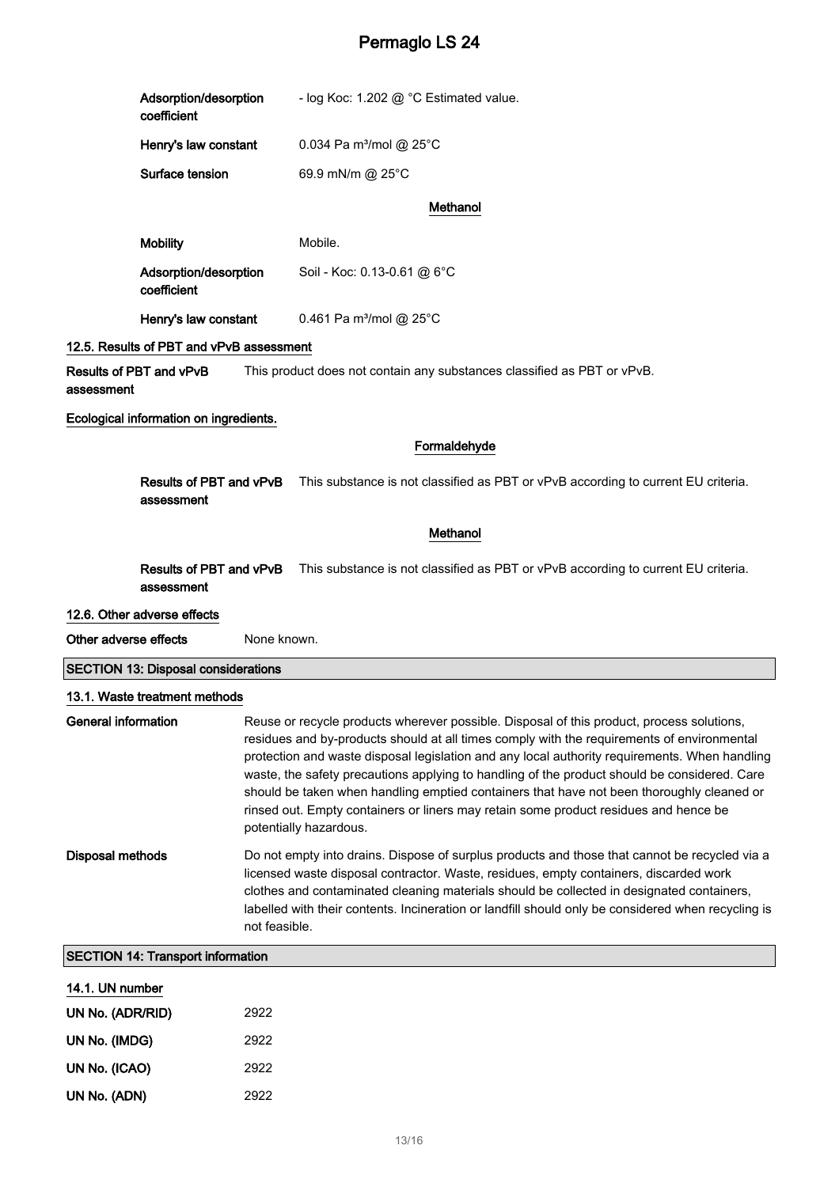|                                                                                                                                                                                                                                                                                                                                                                                                                                                                                                                                                                                                                                       | Adsorption/desorption<br>coefficient                                                                                       |             | - log Koc: 1.202 @ °C Estimated value.                                  |
|---------------------------------------------------------------------------------------------------------------------------------------------------------------------------------------------------------------------------------------------------------------------------------------------------------------------------------------------------------------------------------------------------------------------------------------------------------------------------------------------------------------------------------------------------------------------------------------------------------------------------------------|----------------------------------------------------------------------------------------------------------------------------|-------------|-------------------------------------------------------------------------|
|                                                                                                                                                                                                                                                                                                                                                                                                                                                                                                                                                                                                                                       | Henry's law constant                                                                                                       |             | 0.034 Pa m <sup>3</sup> /mol @ 25°C                                     |
|                                                                                                                                                                                                                                                                                                                                                                                                                                                                                                                                                                                                                                       | Surface tension                                                                                                            |             | 69.9 mN/m @ 25°C                                                        |
|                                                                                                                                                                                                                                                                                                                                                                                                                                                                                                                                                                                                                                       |                                                                                                                            |             | Methanol                                                                |
|                                                                                                                                                                                                                                                                                                                                                                                                                                                                                                                                                                                                                                       | <b>Mobility</b>                                                                                                            |             | Mobile.                                                                 |
|                                                                                                                                                                                                                                                                                                                                                                                                                                                                                                                                                                                                                                       | Adsorption/desorption<br>coefficient                                                                                       |             | Soil - Koc: 0.13-0.61 @ 6°C                                             |
|                                                                                                                                                                                                                                                                                                                                                                                                                                                                                                                                                                                                                                       | Henry's law constant                                                                                                       |             | 0.461 Pa m <sup>3</sup> /mol @ 25°C                                     |
|                                                                                                                                                                                                                                                                                                                                                                                                                                                                                                                                                                                                                                       | 12.5. Results of PBT and vPvB assessment                                                                                   |             |                                                                         |
| assessment                                                                                                                                                                                                                                                                                                                                                                                                                                                                                                                                                                                                                            | Results of PBT and vPvB                                                                                                    |             | This product does not contain any substances classified as PBT or vPvB. |
|                                                                                                                                                                                                                                                                                                                                                                                                                                                                                                                                                                                                                                       | Ecological information on ingredients.                                                                                     |             |                                                                         |
|                                                                                                                                                                                                                                                                                                                                                                                                                                                                                                                                                                                                                                       |                                                                                                                            |             | Formaldehyde                                                            |
|                                                                                                                                                                                                                                                                                                                                                                                                                                                                                                                                                                                                                                       | This substance is not classified as PBT or vPvB according to current EU criteria.<br>Results of PBT and vPvB<br>assessment |             |                                                                         |
|                                                                                                                                                                                                                                                                                                                                                                                                                                                                                                                                                                                                                                       |                                                                                                                            |             | Methanol                                                                |
| Results of PBT and vPvB This substance is not classified as PBT or vPvB according to current EU criteria.<br>assessment                                                                                                                                                                                                                                                                                                                                                                                                                                                                                                               |                                                                                                                            |             |                                                                         |
|                                                                                                                                                                                                                                                                                                                                                                                                                                                                                                                                                                                                                                       | 12.6. Other adverse effects                                                                                                |             |                                                                         |
| Other adverse effects                                                                                                                                                                                                                                                                                                                                                                                                                                                                                                                                                                                                                 |                                                                                                                            | None known. |                                                                         |
|                                                                                                                                                                                                                                                                                                                                                                                                                                                                                                                                                                                                                                       | <b>SECTION 13: Disposal considerations</b>                                                                                 |             |                                                                         |
|                                                                                                                                                                                                                                                                                                                                                                                                                                                                                                                                                                                                                                       | 13.1. Waste treatment methods                                                                                              |             |                                                                         |
| <b>General information</b><br>Reuse or recycle products wherever possible. Disposal of this product, process solutions,<br>residues and by-products should at all times comply with the requirements of environmental<br>protection and waste disposal legislation and any local authority requirements. When handling<br>waste, the safety precautions applying to handling of the product should be considered. Care<br>should be taken when handling emptied containers that have not been thoroughly cleaned or<br>rinsed out. Empty containers or liners may retain some product residues and hence be<br>potentially hazardous. |                                                                                                                            |             |                                                                         |
| <b>Disposal methods</b><br>Do not empty into drains. Dispose of surplus products and those that cannot be recycled via a<br>licensed waste disposal contractor. Waste, residues, empty containers, discarded work<br>clothes and contaminated cleaning materials should be collected in designated containers,<br>labelled with their contents. Incineration or landfill should only be considered when recycling is<br>not feasible.                                                                                                                                                                                                 |                                                                                                                            |             |                                                                         |
| <b>SECTION 14: Transport information</b>                                                                                                                                                                                                                                                                                                                                                                                                                                                                                                                                                                                              |                                                                                                                            |             |                                                                         |
| 14.1 UN number                                                                                                                                                                                                                                                                                                                                                                                                                                                                                                                                                                                                                        |                                                                                                                            |             |                                                                         |

| 14. I. UN number |      |
|------------------|------|
| UN No. (ADR/RID) | 2922 |
| UN No. (IMDG)    | 2922 |
| UN No. (ICAO)    | 2922 |
| UN No. (ADN)     | 2922 |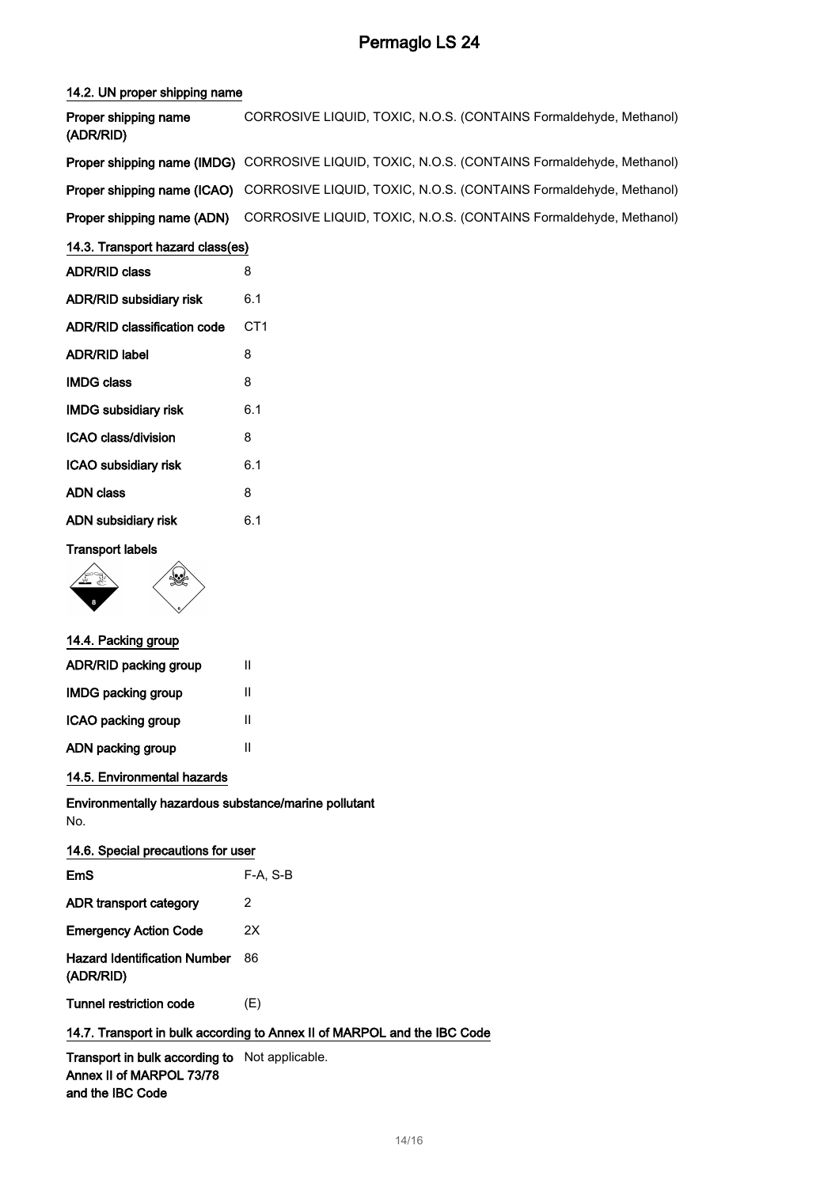#### 14.2. UN proper shipping name

| Proper shipping name<br>(ADR/RID) | CORROSIVE LIQUID, TOXIC, N.O.S. (CONTAINS Formaldehyde, Methanol)                             |
|-----------------------------------|-----------------------------------------------------------------------------------------------|
|                                   | Proper shipping name (IMDG) CORROSIVE LIQUID, TOXIC, N.O.S. (CONTAINS Formaldehyde, Methanol) |
|                                   | Proper shipping name (ICAO) CORROSIVE LIQUID, TOXIC, N.O.S. (CONTAINS Formaldehyde, Methanol) |
|                                   | Proper shipping name (ADN) CORROSIVE LIQUID, TOXIC, N.O.S. (CONTAINS Formaldehyde, Methanol)  |

### 14.3. Transport hazard class(es)

| ADR/RID class                      | 8               |
|------------------------------------|-----------------|
| ADR/RID subsidiary risk            | 6.1             |
| <b>ADR/RID classification code</b> | CT <sub>1</sub> |
| ADR/RID label                      | 8               |
| <b>IMDG class</b>                  | 8               |
| <b>IMDG subsidiary risk</b>        | 6.1             |
| ICAO class/division                | 8               |
| <b>ICAO subsidiary risk</b>        | 6.1             |
| ADN class                          | 8               |
| ADN subsidiary risk                | 6.1             |
|                                    |                 |

## Transport labels



### 14.4. Packing group

| ADR/RID packing group<br>Ш |   |
|----------------------------|---|
| <b>IMDG packing group</b>  | Ш |
| ICAO packing group         | Ш |
| ADN packing group          | Ш |

### 14.5. Environmental hazards

Environmentally hazardous substance/marine pollutant No.

| 14.6. Special precautions for user               |          |  |
|--------------------------------------------------|----------|--|
| F <sub>m</sub> S                                 | F-A. S-B |  |
| ADR transport category                           | 2        |  |
| <b>Emergency Action Code</b>                     | 2Χ       |  |
| <b>Hazard Identification Number</b><br>(ADR/RID) | 86       |  |
| Tunnel restriction code                          | (E)      |  |

## 14.7. Transport in bulk according to Annex II of MARPOL and the IBC Code

Transport in bulk according to Not applicable. Annex II of MARPOL 73/78 and the IBC Code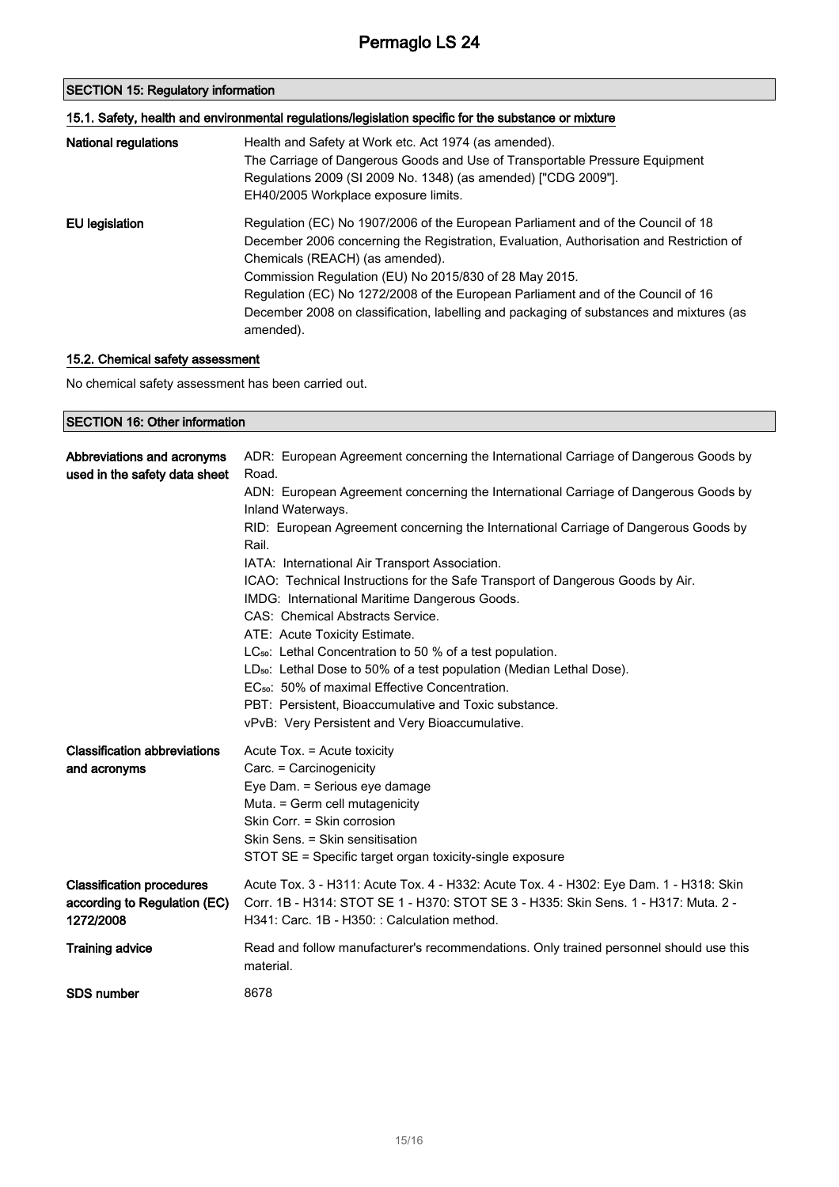| <b>SECTION 15: Regulatory information</b><br>15.1. Safety, health and environmental regulations/legislation specific for the substance or mixture |                                                                                                                                                                                                                                                                                                                                                                                                                                                                      |  |
|---------------------------------------------------------------------------------------------------------------------------------------------------|----------------------------------------------------------------------------------------------------------------------------------------------------------------------------------------------------------------------------------------------------------------------------------------------------------------------------------------------------------------------------------------------------------------------------------------------------------------------|--|
|                                                                                                                                                   |                                                                                                                                                                                                                                                                                                                                                                                                                                                                      |  |
| EU legislation                                                                                                                                    | Regulation (EC) No 1907/2006 of the European Parliament and of the Council of 18<br>December 2006 concerning the Registration, Evaluation, Authorisation and Restriction of<br>Chemicals (REACH) (as amended).<br>Commission Regulation (EU) No 2015/830 of 28 May 2015.<br>Regulation (EC) No 1272/2008 of the European Parliament and of the Council of 16<br>December 2008 on classification, labelling and packaging of substances and mixtures (as<br>amended). |  |

## 15.2. Chemical safety assessment

No chemical safety assessment has been carried out.

| <b>SECTION 16: Other information</b>                                          |                                                                                                                                                                                                                                                                                                                                                                                                                                                                                                                                                                                                                                                                                                                                                                                                                                                                                                           |  |
|-------------------------------------------------------------------------------|-----------------------------------------------------------------------------------------------------------------------------------------------------------------------------------------------------------------------------------------------------------------------------------------------------------------------------------------------------------------------------------------------------------------------------------------------------------------------------------------------------------------------------------------------------------------------------------------------------------------------------------------------------------------------------------------------------------------------------------------------------------------------------------------------------------------------------------------------------------------------------------------------------------|--|
| Abbreviations and acronyms<br>used in the safety data sheet                   | ADR: European Agreement concerning the International Carriage of Dangerous Goods by<br>Road.<br>ADN: European Agreement concerning the International Carriage of Dangerous Goods by<br>Inland Waterways.<br>RID: European Agreement concerning the International Carriage of Dangerous Goods by<br>Rail.<br>IATA: International Air Transport Association.<br>ICAO: Technical Instructions for the Safe Transport of Dangerous Goods by Air.<br>IMDG: International Maritime Dangerous Goods.<br>CAS: Chemical Abstracts Service.<br>ATE: Acute Toxicity Estimate.<br>LC <sub>50</sub> : Lethal Concentration to 50 % of a test population.<br>LD <sub>50</sub> : Lethal Dose to 50% of a test population (Median Lethal Dose).<br>EC <sub>50</sub> : 50% of maximal Effective Concentration.<br>PBT: Persistent, Bioaccumulative and Toxic substance.<br>vPvB: Very Persistent and Very Bioaccumulative. |  |
| <b>Classification abbreviations</b><br>and acronyms                           | Acute Tox. = Acute toxicity<br>Carc. = Carcinogenicity<br>Eye Dam. = Serious eye damage<br>Muta. = Germ cell mutagenicity<br>Skin Corr. = Skin corrosion<br>Skin Sens. = Skin sensitisation<br>STOT SE = Specific target organ toxicity-single exposure                                                                                                                                                                                                                                                                                                                                                                                                                                                                                                                                                                                                                                                   |  |
| <b>Classification procedures</b><br>according to Regulation (EC)<br>1272/2008 | Acute Tox. 3 - H311: Acute Tox. 4 - H332: Acute Tox. 4 - H302: Eye Dam. 1 - H318: Skin<br>Corr. 1B - H314: STOT SE 1 - H370: STOT SE 3 - H335: Skin Sens. 1 - H317: Muta. 2 -<br>H341: Carc. 1B - H350: : Calculation method.                                                                                                                                                                                                                                                                                                                                                                                                                                                                                                                                                                                                                                                                             |  |
| <b>Training advice</b>                                                        | Read and follow manufacturer's recommendations. Only trained personnel should use this<br>material.                                                                                                                                                                                                                                                                                                                                                                                                                                                                                                                                                                                                                                                                                                                                                                                                       |  |
| <b>SDS number</b>                                                             | 8678                                                                                                                                                                                                                                                                                                                                                                                                                                                                                                                                                                                                                                                                                                                                                                                                                                                                                                      |  |